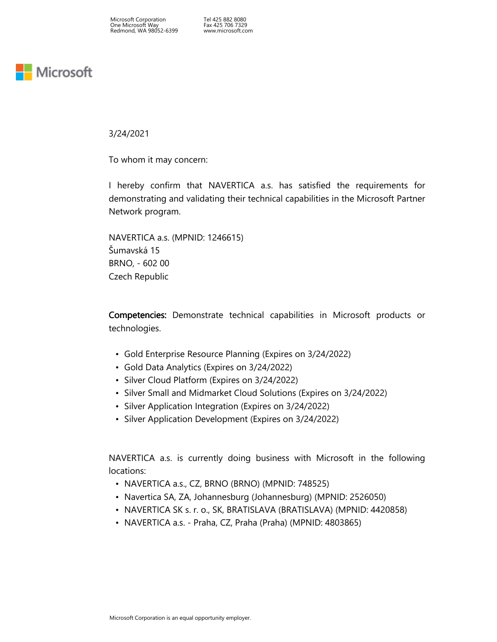Tel 425 882 8080 Fax 425 706 7329 www.microsoft.com

## **Nicrosoft**

3/24/2021

To whom it may concern:

I hereby confirm that NAVERTICA a.s. has satisfied the requirements for demonstrating and validating their technical capabilities in the Microsoft Partner Network program.

NAVERTICA a.s. (MPNID: 1246615) Šumavská 15 BRNO, - 602 00 Czech Republic

Competencies: Demonstrate technical capabilities in Microsoft products or technologies.

- Gold Enterprise Resource Planning (Expires on 3/24/2022)
- Gold Data Analytics (Expires on 3/24/2022)
- Silver Cloud Platform (Expires on 3/24/2022)
- Silver Small and Midmarket Cloud Solutions (Expires on 3/24/2022)
- Silver Application Integration (Expires on 3/24/2022)
- Silver Application Development (Expires on 3/24/2022)

NAVERTICA a.s. is currently doing business with Microsoft in the following locations:

- NAVERTICA a.s., CZ, BRNO (BRNO) (MPNID: 748525)
- Navertica SA, ZA, Johannesburg (Johannesburg) (MPNID: 2526050)
- NAVERTICA SK s. r. o., SK, BRATISLAVA (BRATISLAVA) (MPNID: 4420858)
- NAVERTICA a.s. Praha, CZ, Praha (Praha) (MPNID: 4803865)